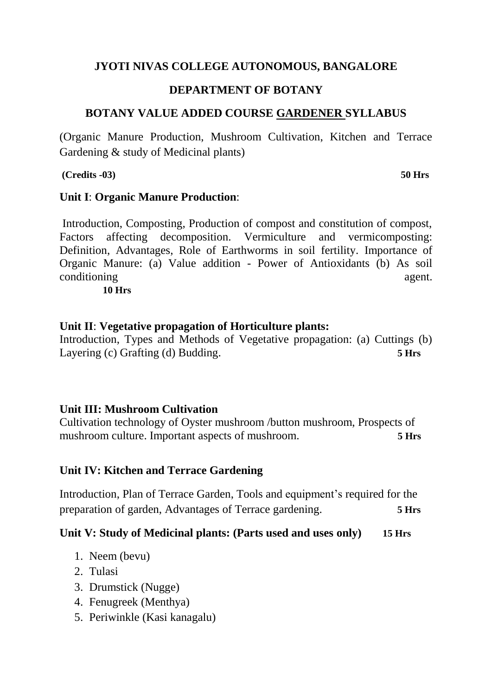### **JYOTI NIVAS COLLEGE AUTONOMOUS, BANGALORE**

### **DEPARTMENT OF BOTANY**

## **BOTANY VALUE ADDED COURSE GARDENER SYLLABUS**

(Organic Manure Production, Mushroom Cultivation, Kitchen and Terrace Gardening & study of Medicinal plants)

**(Credits -03) 50 Hrs**

#### **Unit I**: **Organic Manure Production**:

Introduction, Composting, Production of compost and constitution of compost, Factors affecting decomposition. Vermiculture and vermicomposting: Definition, Advantages, Role of Earthworms in soil fertility. Importance of Organic Manure: (a) Value addition - Power of Antioxidants (b) As soil conditioning agent.

**10 Hrs**

## **Unit II**: **Vegetative propagation of Horticulture plants:**

Introduction, Types and Methods of Vegetative propagation: (a) Cuttings (b) Layering (c) Grafting (d) Budding. **5 Hrs**

# **Unit III: Mushroom Cultivation**

Cultivation technology of Oyster mushroom /button mushroom, Prospects of mushroom culture. Important aspects of mushroom. **5 Hrs**

# **Unit IV: Kitchen and Terrace Gardening**

Introduction, Plan of Terrace Garden, Tools and equipment's required for the preparation of garden, Advantages of Terrace gardening. **5 Hrs**

#### **Unit V: Study of Medicinal plants: (Parts used and uses only) 15 Hrs**

- 1. Neem (bevu)
- 2. Tulasi
- 3. Drumstick (Nugge)
- 4. Fenugreek (Menthya)
- 5. Periwinkle (Kasi kanagalu)